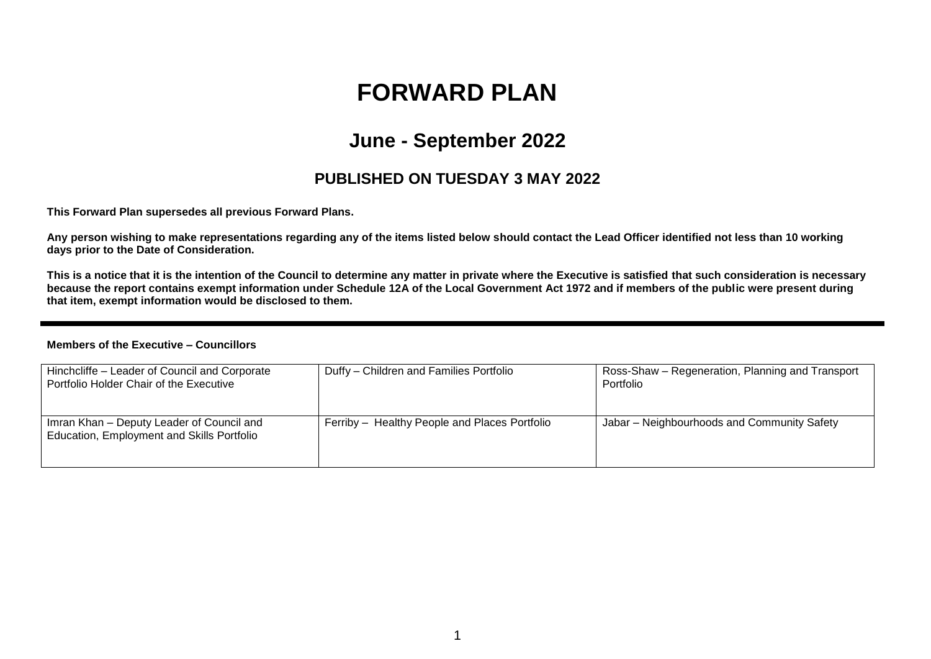# **FORWARD PLAN**

## **June - September 2022**

### **PUBLISHED ON TUESDAY 3 MAY 2022**

**This Forward Plan supersedes all previous Forward Plans.**

**Any person wishing to make representations regarding any of the items listed below should contact the Lead Officer identified not less than 10 working days prior to the Date of Consideration.** 

**This is a notice that it is the intention of the Council to determine any matter in private where the Executive is satisfied that such consideration is necessary because the report contains exempt information under Schedule 12A of the Local Government Act 1972 and if members of the public were present during that item, exempt information would be disclosed to them.**

#### **Members of the Executive – Councillors**

| Hinchcliffe - Leader of Council and Corporate<br>Portfolio Holder Chair of the Executive | Duffy - Children and Families Portfolio       | Ross-Shaw – Regeneration, Planning and Transport<br>Portfolio |
|------------------------------------------------------------------------------------------|-----------------------------------------------|---------------------------------------------------------------|
| Imran Khan - Deputy Leader of Council and<br>Education, Employment and Skills Portfolio  | Ferriby - Healthy People and Places Portfolio | Jabar - Neighbourhoods and Community Safety                   |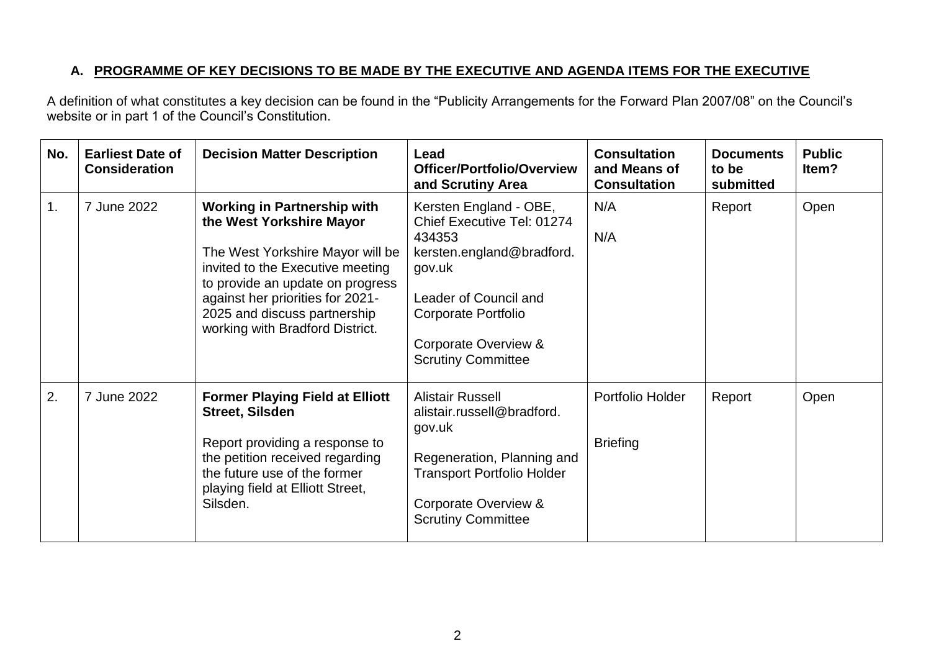### **A. PROGRAMME OF KEY DECISIONS TO BE MADE BY THE EXECUTIVE AND AGENDA ITEMS FOR THE EXECUTIVE**

A definition of what constitutes a key decision can be found in the "Publicity Arrangements for the Forward Plan 2007/08" on the Council's website or in part 1 of the Council's Constitution.

| No. | <b>Earliest Date of</b><br><b>Consideration</b> | <b>Decision Matter Description</b>                                                                                                                                                                                                                                                | Lead<br><b>Officer/Portfolio/Overview</b><br>and Scrutiny Area                                                                                                                                             | <b>Consultation</b><br>and Means of<br><b>Consultation</b> | <b>Documents</b><br>to be<br>submitted | <b>Public</b><br>Item? |
|-----|-------------------------------------------------|-----------------------------------------------------------------------------------------------------------------------------------------------------------------------------------------------------------------------------------------------------------------------------------|------------------------------------------------------------------------------------------------------------------------------------------------------------------------------------------------------------|------------------------------------------------------------|----------------------------------------|------------------------|
| 1.  | 7 June 2022                                     | <b>Working in Partnership with</b><br>the West Yorkshire Mayor<br>The West Yorkshire Mayor will be<br>invited to the Executive meeting<br>to provide an update on progress<br>against her priorities for 2021-<br>2025 and discuss partnership<br>working with Bradford District. | Kersten England - OBE,<br>Chief Executive Tel: 01274<br>434353<br>kersten.england@bradford.<br>gov.uk<br>Leader of Council and<br>Corporate Portfolio<br>Corporate Overview &<br><b>Scrutiny Committee</b> | N/A<br>N/A                                                 | Report                                 | Open                   |
| 2.  | 7 June 2022                                     | <b>Former Playing Field at Elliott</b><br><b>Street, Silsden</b><br>Report providing a response to<br>the petition received regarding<br>the future use of the former<br>playing field at Elliott Street,<br>Silsden.                                                             | <b>Alistair Russell</b><br>alistair.russell@bradford.<br>gov.uk<br>Regeneration, Planning and<br><b>Transport Portfolio Holder</b><br>Corporate Overview &<br><b>Scrutiny Committee</b>                    | Portfolio Holder<br><b>Briefing</b>                        | Report                                 | Open                   |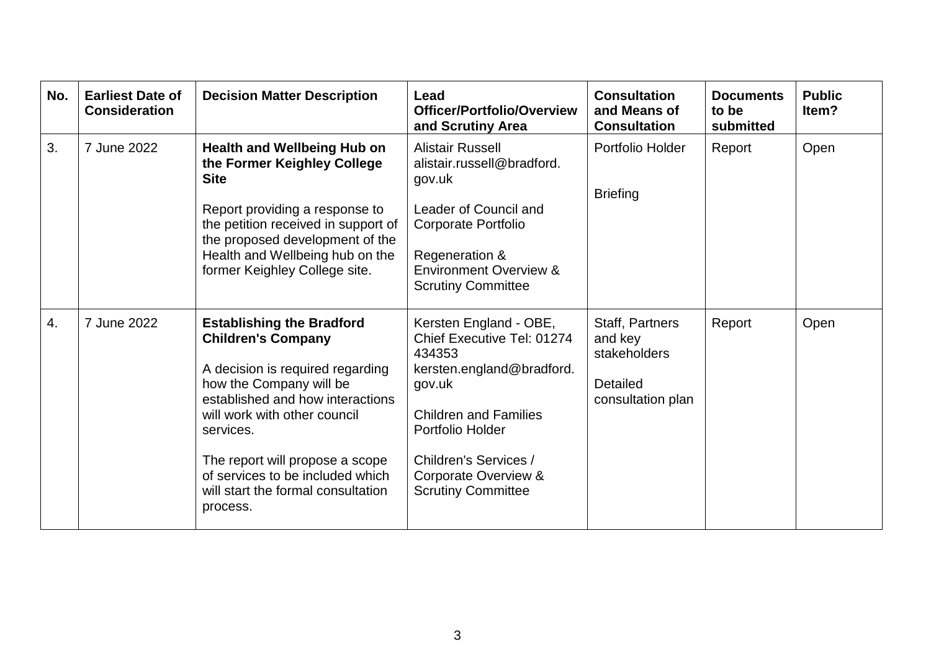| No.              | <b>Earliest Date of</b><br><b>Consideration</b> | <b>Decision Matter Description</b>                                                                                                                                                                                                                                                                                                     | Lead<br><b>Officer/Portfolio/Overview</b><br>and Scrutiny Area                                                                                                                                                                          | <b>Consultation</b><br>and Means of<br><b>Consultation</b>                  | <b>Documents</b><br>to be<br>submitted | <b>Public</b><br>ltem? |
|------------------|-------------------------------------------------|----------------------------------------------------------------------------------------------------------------------------------------------------------------------------------------------------------------------------------------------------------------------------------------------------------------------------------------|-----------------------------------------------------------------------------------------------------------------------------------------------------------------------------------------------------------------------------------------|-----------------------------------------------------------------------------|----------------------------------------|------------------------|
| 3.               | 7 June 2022                                     | <b>Health and Wellbeing Hub on</b><br>the Former Keighley College<br><b>Site</b><br>Report providing a response to<br>the petition received in support of<br>the proposed development of the<br>Health and Wellbeing hub on the<br>former Keighley College site.                                                                       | <b>Alistair Russell</b><br>alistair.russell@bradford.<br>gov.uk<br>Leader of Council and<br><b>Corporate Portfolio</b><br>Regeneration &<br><b>Environment Overview &amp;</b><br><b>Scrutiny Committee</b>                              | Portfolio Holder<br><b>Briefing</b>                                         | Report                                 | Open                   |
| $\overline{4}$ . | 7 June 2022                                     | <b>Establishing the Bradford</b><br><b>Children's Company</b><br>A decision is required regarding<br>how the Company will be<br>established and how interactions<br>will work with other council<br>services.<br>The report will propose a scope<br>of services to be included which<br>will start the formal consultation<br>process. | Kersten England - OBE,<br>Chief Executive Tel: 01274<br>434353<br>kersten.england@bradford.<br>gov.uk<br><b>Children and Families</b><br>Portfolio Holder<br>Children's Services /<br>Corporate Overview &<br><b>Scrutiny Committee</b> | Staff, Partners<br>and key<br>stakeholders<br>Detailed<br>consultation plan | Report                                 | Open                   |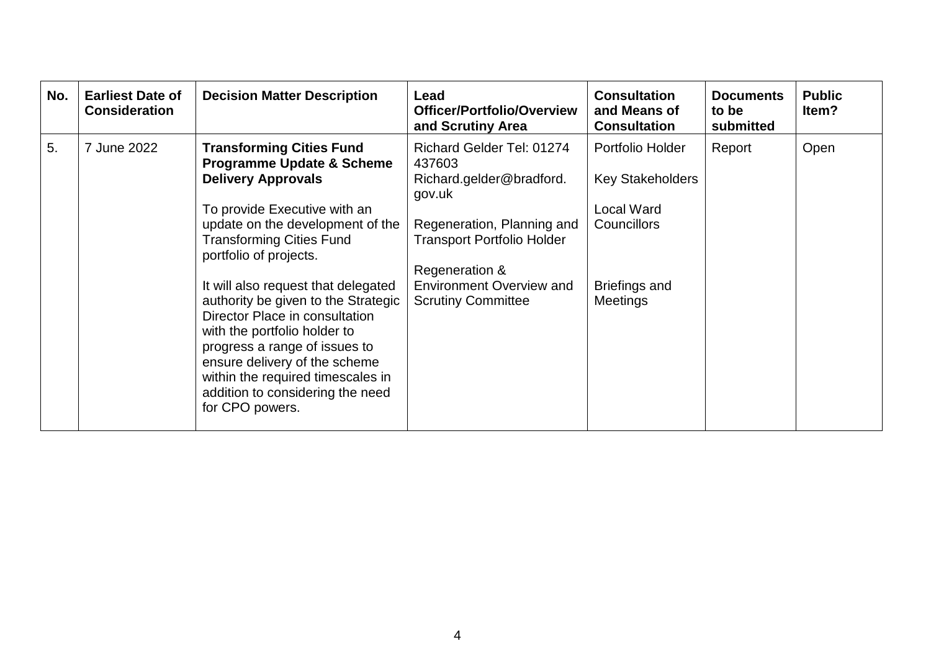| No. | <b>Earliest Date of</b><br><b>Consideration</b> | <b>Decision Matter Description</b>                                                                                                                                                                                                                                                                                                                                                                                                                                                                                                                  | Lead<br><b>Officer/Portfolio/Overview</b><br>and Scrutiny Area                                                                                                                                                                 | <b>Consultation</b><br>and Means of<br><b>Consultation</b>                                                                 | <b>Documents</b><br>to be<br>submitted | <b>Public</b><br>Item? |
|-----|-------------------------------------------------|-----------------------------------------------------------------------------------------------------------------------------------------------------------------------------------------------------------------------------------------------------------------------------------------------------------------------------------------------------------------------------------------------------------------------------------------------------------------------------------------------------------------------------------------------------|--------------------------------------------------------------------------------------------------------------------------------------------------------------------------------------------------------------------------------|----------------------------------------------------------------------------------------------------------------------------|----------------------------------------|------------------------|
| 5.  | 7 June 2022                                     | <b>Transforming Cities Fund</b><br><b>Programme Update &amp; Scheme</b><br><b>Delivery Approvals</b><br>To provide Executive with an<br>update on the development of the<br><b>Transforming Cities Fund</b><br>portfolio of projects.<br>It will also request that delegated<br>authority be given to the Strategic<br>Director Place in consultation<br>with the portfolio holder to<br>progress a range of issues to<br>ensure delivery of the scheme<br>within the required timescales in<br>addition to considering the need<br>for CPO powers. | Richard Gelder Tel: 01274<br>437603<br>Richard.gelder@bradford.<br>gov.uk<br>Regeneration, Planning and<br><b>Transport Portfolio Holder</b><br>Regeneration &<br><b>Environment Overview and</b><br><b>Scrutiny Committee</b> | Portfolio Holder<br><b>Key Stakeholders</b><br><b>Local Ward</b><br><b>Councillors</b><br>Briefings and<br><b>Meetings</b> | Report                                 | Open                   |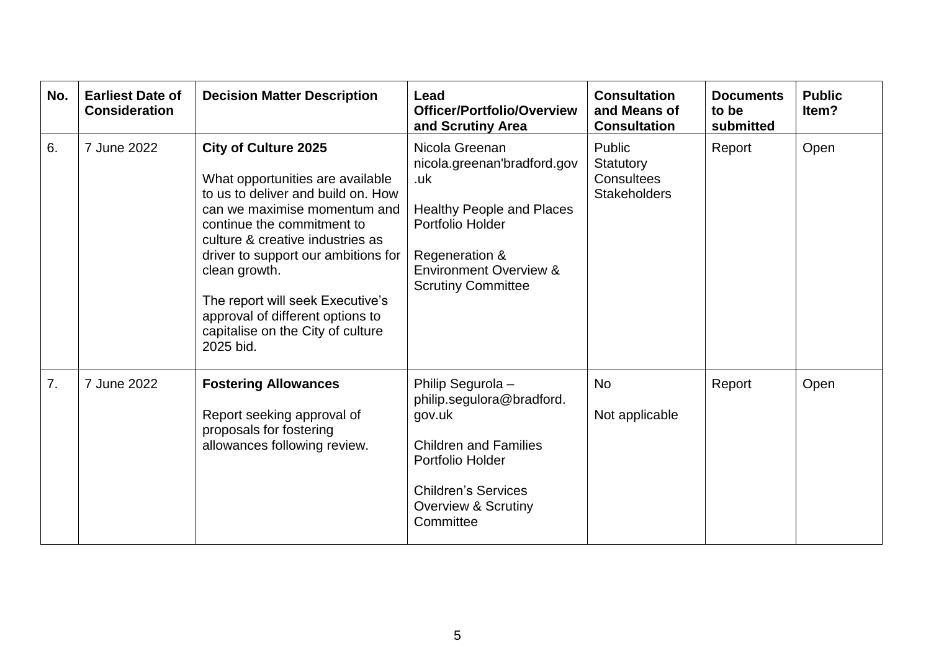| No. | <b>Earliest Date of</b><br><b>Consideration</b> | <b>Decision Matter Description</b>                                                                                                                                                                                                                                                                                                                                                        | Lead<br><b>Officer/Portfolio/Overview</b><br>and Scrutiny Area                                                                                                                                   | <b>Consultation</b><br>and Means of<br><b>Consultation</b> | <b>Documents</b><br>to be<br>submitted | <b>Public</b><br>ltem? |
|-----|-------------------------------------------------|-------------------------------------------------------------------------------------------------------------------------------------------------------------------------------------------------------------------------------------------------------------------------------------------------------------------------------------------------------------------------------------------|--------------------------------------------------------------------------------------------------------------------------------------------------------------------------------------------------|------------------------------------------------------------|----------------------------------------|------------------------|
| 6.  | 7 June 2022                                     | <b>City of Culture 2025</b><br>What opportunities are available<br>to us to deliver and build on. How<br>can we maximise momentum and<br>continue the commitment to<br>culture & creative industries as<br>driver to support our ambitions for<br>clean growth.<br>The report will seek Executive's<br>approval of different options to<br>capitalise on the City of culture<br>2025 bid. | Nicola Greenan<br>nicola.greenan'bradford.gov<br>.uk<br><b>Healthy People and Places</b><br>Portfolio Holder<br>Regeneration &<br><b>Environment Overview &amp;</b><br><b>Scrutiny Committee</b> | Public<br>Statutory<br>Consultees<br><b>Stakeholders</b>   | Report                                 | Open                   |
| 7.  | 7 June 2022                                     | <b>Fostering Allowances</b><br>Report seeking approval of<br>proposals for fostering<br>allowances following review.                                                                                                                                                                                                                                                                      | Philip Segurola -<br>philip.segulora@bradford.<br>gov.uk<br><b>Children and Families</b><br>Portfolio Holder<br><b>Children's Services</b><br><b>Overview &amp; Scrutiny</b><br>Committee        | <b>No</b><br>Not applicable                                | Report                                 | Open                   |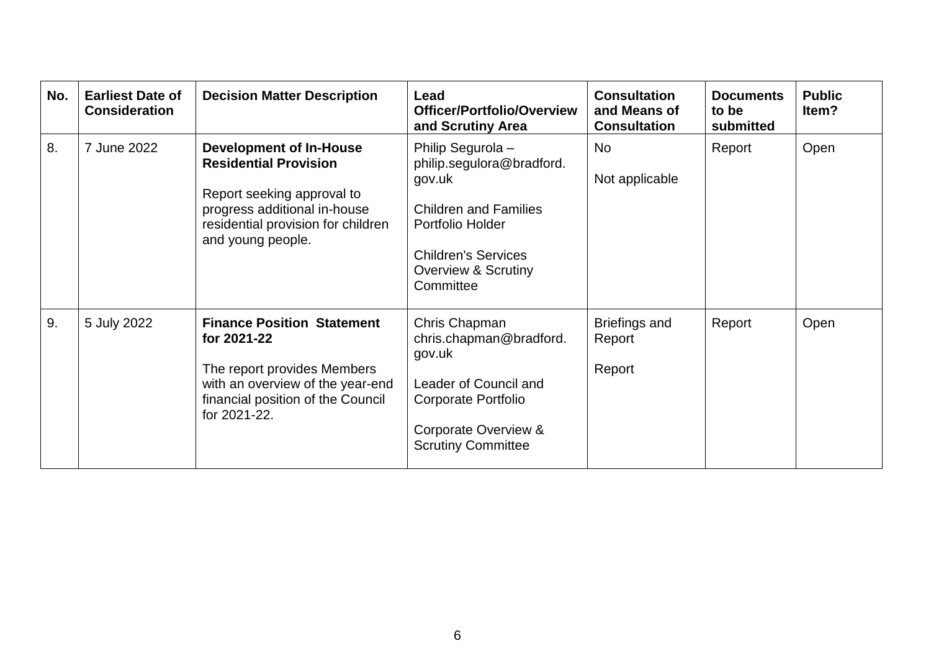| No. | <b>Earliest Date of</b><br><b>Consideration</b> | <b>Decision Matter Description</b>                                                                                                                                                      | Lead<br><b>Officer/Portfolio/Overview</b><br>and Scrutiny Area                                                                                                                            | <b>Consultation</b><br>and Means of<br><b>Consultation</b> | <b>Documents</b><br>to be<br>submitted | <b>Public</b><br>Item? |
|-----|-------------------------------------------------|-----------------------------------------------------------------------------------------------------------------------------------------------------------------------------------------|-------------------------------------------------------------------------------------------------------------------------------------------------------------------------------------------|------------------------------------------------------------|----------------------------------------|------------------------|
| 8.  | 7 June 2022                                     | <b>Development of In-House</b><br><b>Residential Provision</b><br>Report seeking approval to<br>progress additional in-house<br>residential provision for children<br>and young people. | Philip Segurola -<br>philip.segulora@bradford.<br>gov.uk<br><b>Children and Families</b><br>Portfolio Holder<br><b>Children's Services</b><br><b>Overview &amp; Scrutiny</b><br>Committee | <b>No</b><br>Not applicable                                | Report                                 | Open                   |
| 9.  | 5 July 2022                                     | <b>Finance Position Statement</b><br>for 2021-22<br>The report provides Members<br>with an overview of the year-end<br>financial position of the Council<br>for 2021-22.                | Chris Chapman<br>chris.chapman@bradford.<br>gov.uk<br>Leader of Council and<br>Corporate Portfolio<br>Corporate Overview &<br><b>Scrutiny Committee</b>                                   | Briefings and<br>Report<br>Report                          | Report                                 | Open                   |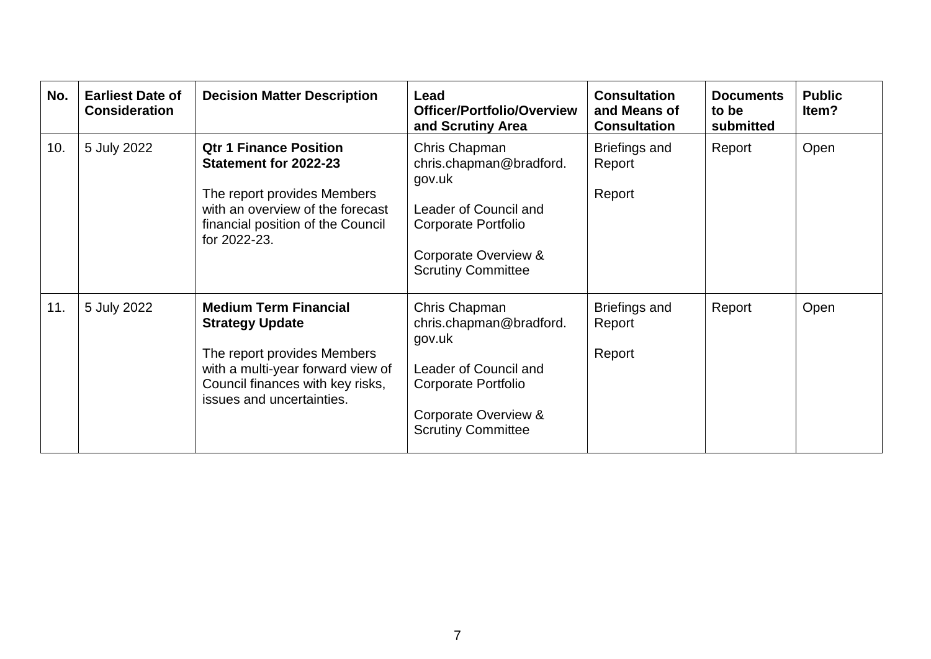| No. | <b>Earliest Date of</b><br><b>Consideration</b> | <b>Decision Matter Description</b>                                                                                                                                                          | Lead<br><b>Officer/Portfolio/Overview</b><br>and Scrutiny Area                                                                                          | <b>Consultation</b><br>and Means of<br><b>Consultation</b> | <b>Documents</b><br>to be<br>submitted | <b>Public</b><br>Item? |
|-----|-------------------------------------------------|---------------------------------------------------------------------------------------------------------------------------------------------------------------------------------------------|---------------------------------------------------------------------------------------------------------------------------------------------------------|------------------------------------------------------------|----------------------------------------|------------------------|
| 10. | 5 July 2022                                     | <b>Qtr 1 Finance Position</b><br>Statement for 2022-23<br>The report provides Members<br>with an overview of the forecast<br>financial position of the Council<br>for 2022-23.              | Chris Chapman<br>chris.chapman@bradford.<br>gov.uk<br>Leader of Council and<br>Corporate Portfolio<br>Corporate Overview &<br><b>Scrutiny Committee</b> | <b>Briefings and</b><br>Report<br>Report                   | Report                                 | Open                   |
| 11. | 5 July 2022                                     | <b>Medium Term Financial</b><br><b>Strategy Update</b><br>The report provides Members<br>with a multi-year forward view of<br>Council finances with key risks,<br>issues and uncertainties. | Chris Chapman<br>chris.chapman@bradford.<br>gov.uk<br>Leader of Council and<br>Corporate Portfolio<br>Corporate Overview &<br><b>Scrutiny Committee</b> | <b>Briefings and</b><br>Report<br>Report                   | Report                                 | Open                   |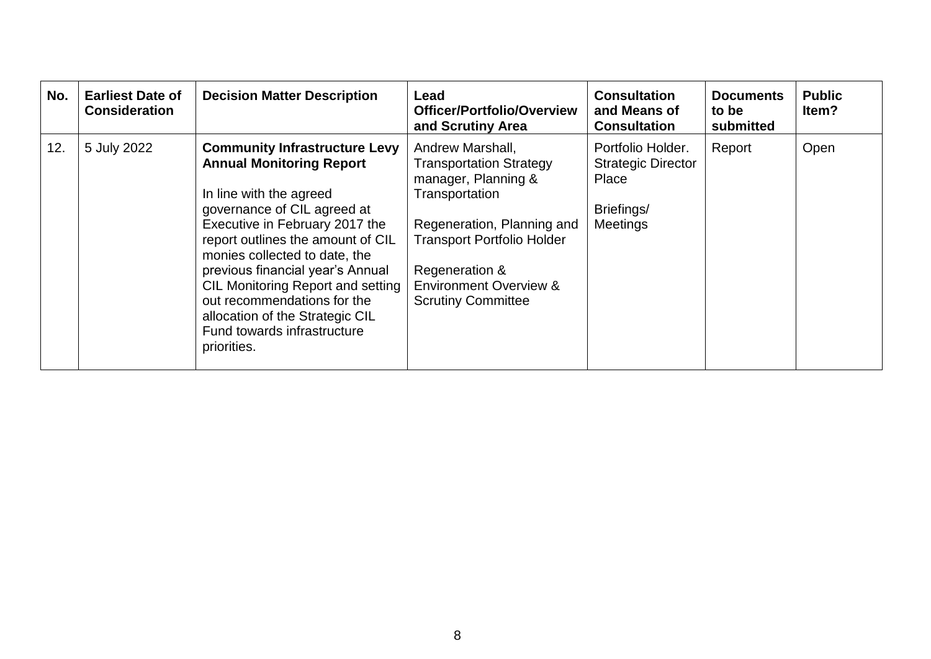| No. | <b>Earliest Date of</b><br><b>Consideration</b> | <b>Decision Matter Description</b>                                                                                                                                                                                                                                                                                                                                                                                                        | Lead<br>Officer/Portfolio/Overview<br>and Scrutiny Area                                                                                                                                                                                            | <b>Consultation</b><br>and Means of<br><b>Consultation</b>                               | <b>Documents</b><br>to be<br>submitted | <b>Public</b><br>ltem? |
|-----|-------------------------------------------------|-------------------------------------------------------------------------------------------------------------------------------------------------------------------------------------------------------------------------------------------------------------------------------------------------------------------------------------------------------------------------------------------------------------------------------------------|----------------------------------------------------------------------------------------------------------------------------------------------------------------------------------------------------------------------------------------------------|------------------------------------------------------------------------------------------|----------------------------------------|------------------------|
| 12. | 5 July 2022                                     | <b>Community Infrastructure Levy</b><br><b>Annual Monitoring Report</b><br>In line with the agreed<br>governance of CIL agreed at<br>Executive in February 2017 the<br>report outlines the amount of CIL<br>monies collected to date, the<br>previous financial year's Annual<br><b>CIL Monitoring Report and setting</b><br>out recommendations for the<br>allocation of the Strategic CIL<br>Fund towards infrastructure<br>priorities. | Andrew Marshall,<br><b>Transportation Strategy</b><br>manager, Planning &<br>Transportation<br>Regeneration, Planning and<br><b>Transport Portfolio Holder</b><br>Regeneration &<br><b>Environment Overview &amp;</b><br><b>Scrutiny Committee</b> | Portfolio Holder.<br><b>Strategic Director</b><br>Place<br>Briefings/<br><b>Meetings</b> | Report                                 | Open                   |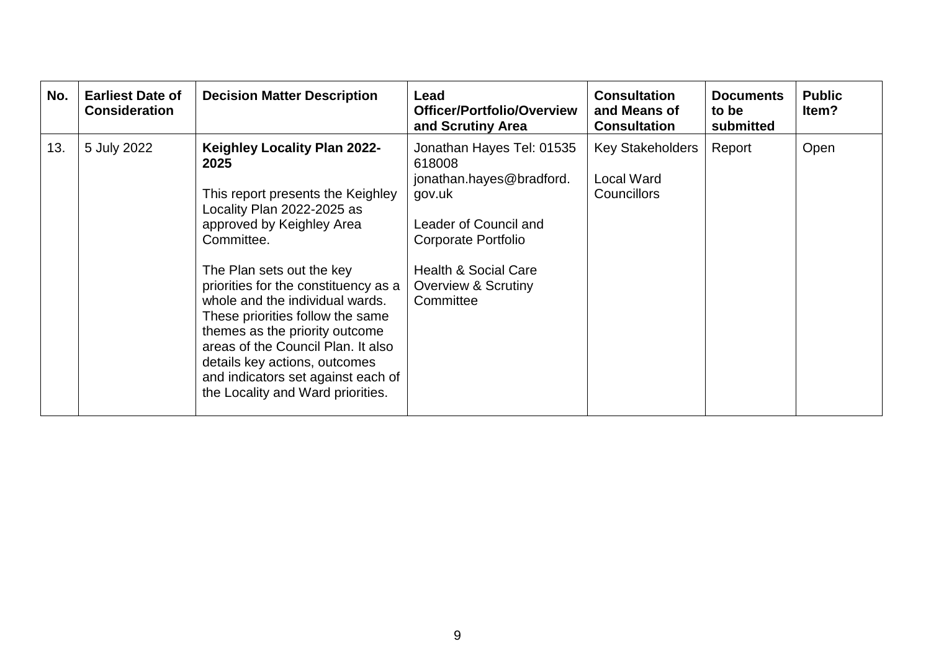| No. | <b>Earliest Date of</b><br><b>Consideration</b> | <b>Decision Matter Description</b>                                                                                                                                                                                                                                                                                                                                                                                                                                                        | Lead<br><b>Officer/Portfolio/Overview</b><br>and Scrutiny Area                                                                                                                                   | <b>Consultation</b><br>and Means of<br><b>Consultation</b>  | <b>Documents</b><br>to be<br>submitted | <b>Public</b><br>Item? |
|-----|-------------------------------------------------|-------------------------------------------------------------------------------------------------------------------------------------------------------------------------------------------------------------------------------------------------------------------------------------------------------------------------------------------------------------------------------------------------------------------------------------------------------------------------------------------|--------------------------------------------------------------------------------------------------------------------------------------------------------------------------------------------------|-------------------------------------------------------------|----------------------------------------|------------------------|
| 13. | 5 July 2022                                     | <b>Keighley Locality Plan 2022-</b><br>2025<br>This report presents the Keighley<br>Locality Plan 2022-2025 as<br>approved by Keighley Area<br>Committee.<br>The Plan sets out the key<br>priorities for the constituency as a<br>whole and the individual wards.<br>These priorities follow the same<br>themes as the priority outcome<br>areas of the Council Plan. It also<br>details key actions, outcomes<br>and indicators set against each of<br>the Locality and Ward priorities. | Jonathan Hayes Tel: 01535<br>618008<br>jonathan.hayes@bradford.<br>gov.uk<br>Leader of Council and<br>Corporate Portfolio<br><b>Health &amp; Social Care</b><br>Overview & Scrutiny<br>Committee | Key Stakeholders<br><b>Local Ward</b><br><b>Councillors</b> | Report                                 | Open                   |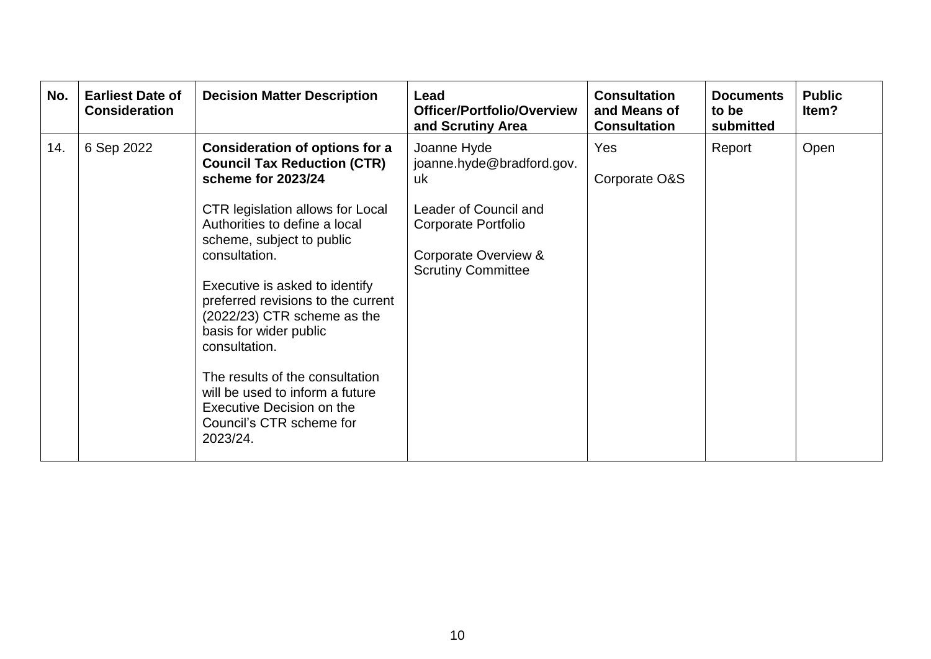| No. | <b>Earliest Date of</b><br><b>Consideration</b> | <b>Decision Matter Description</b>                                                                                                                                                                                                                                                                                                                                                                                                                                                                                       | Lead<br><b>Officer/Portfolio/Overview</b><br>and Scrutiny Area                                                                                      | <b>Consultation</b><br>and Means of<br><b>Consultation</b> | <b>Documents</b><br>to be<br>submitted | <b>Public</b><br>Item? |
|-----|-------------------------------------------------|--------------------------------------------------------------------------------------------------------------------------------------------------------------------------------------------------------------------------------------------------------------------------------------------------------------------------------------------------------------------------------------------------------------------------------------------------------------------------------------------------------------------------|-----------------------------------------------------------------------------------------------------------------------------------------------------|------------------------------------------------------------|----------------------------------------|------------------------|
| 14. | 6 Sep 2022                                      | <b>Consideration of options for a</b><br><b>Council Tax Reduction (CTR)</b><br>scheme for 2023/24<br><b>CTR legislation allows for Local</b><br>Authorities to define a local<br>scheme, subject to public<br>consultation.<br>Executive is asked to identify<br>preferred revisions to the current<br>(2022/23) CTR scheme as the<br>basis for wider public<br>consultation.<br>The results of the consultation<br>will be used to inform a future<br>Executive Decision on the<br>Council's CTR scheme for<br>2023/24. | Joanne Hyde<br>joanne.hyde@bradford.gov.<br>uk<br>Leader of Council and<br>Corporate Portfolio<br>Corporate Overview &<br><b>Scrutiny Committee</b> | Yes<br>Corporate O&S                                       | Report                                 | Open                   |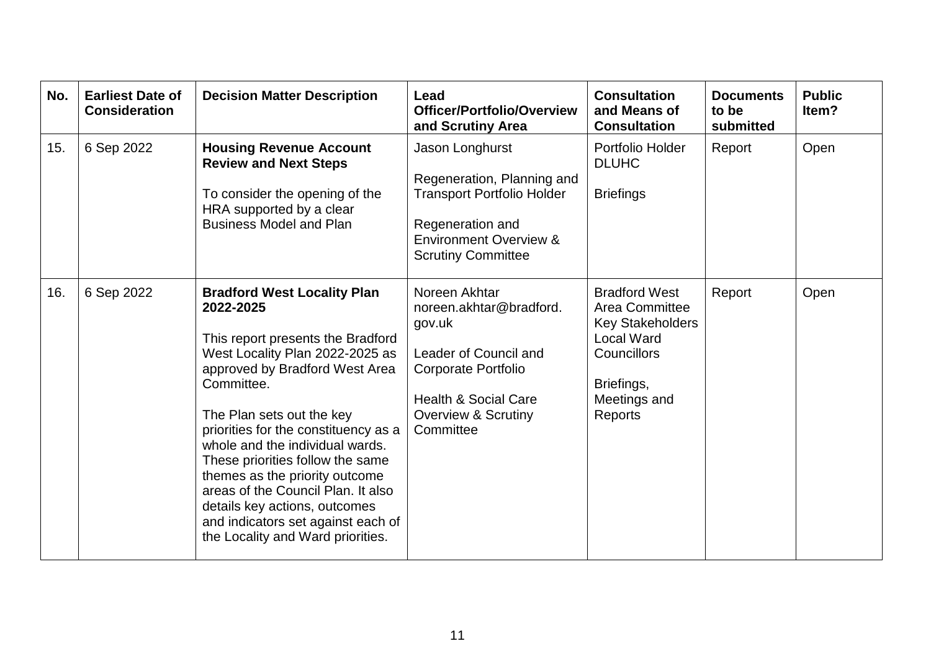| No. | <b>Earliest Date of</b><br><b>Consideration</b> | <b>Decision Matter Description</b>                                                                                                                                                                                                                                                                                                                                                                                                                                                                      | Lead<br>Officer/Portfolio/Overview<br>and Scrutiny Area                                                                                                                                     | <b>Consultation</b><br>and Means of<br><b>Consultation</b>                                                                                     | <b>Documents</b><br>to be<br>submitted | <b>Public</b><br>Item? |
|-----|-------------------------------------------------|---------------------------------------------------------------------------------------------------------------------------------------------------------------------------------------------------------------------------------------------------------------------------------------------------------------------------------------------------------------------------------------------------------------------------------------------------------------------------------------------------------|---------------------------------------------------------------------------------------------------------------------------------------------------------------------------------------------|------------------------------------------------------------------------------------------------------------------------------------------------|----------------------------------------|------------------------|
| 15. | 6 Sep 2022                                      | <b>Housing Revenue Account</b><br><b>Review and Next Steps</b><br>To consider the opening of the<br>HRA supported by a clear<br><b>Business Model and Plan</b>                                                                                                                                                                                                                                                                                                                                          | Jason Longhurst<br>Regeneration, Planning and<br><b>Transport Portfolio Holder</b><br>Regeneration and<br><b>Environment Overview &amp;</b><br><b>Scrutiny Committee</b>                    | Portfolio Holder<br><b>DLUHC</b><br><b>Briefings</b>                                                                                           | Report                                 | Open                   |
| 16. | 6 Sep 2022                                      | <b>Bradford West Locality Plan</b><br>2022-2025<br>This report presents the Bradford<br>West Locality Plan 2022-2025 as<br>approved by Bradford West Area<br>Committee.<br>The Plan sets out the key<br>priorities for the constituency as a<br>whole and the individual wards.<br>These priorities follow the same<br>themes as the priority outcome<br>areas of the Council Plan. It also<br>details key actions, outcomes<br>and indicators set against each of<br>the Locality and Ward priorities. | Noreen Akhtar<br>noreen.akhtar@bradford.<br>gov.uk<br>Leader of Council and<br><b>Corporate Portfolio</b><br><b>Health &amp; Social Care</b><br><b>Overview &amp; Scrutiny</b><br>Committee | <b>Bradford West</b><br>Area Committee<br><b>Key Stakeholders</b><br><b>Local Ward</b><br>Councillors<br>Briefings,<br>Meetings and<br>Reports | Report                                 | Open                   |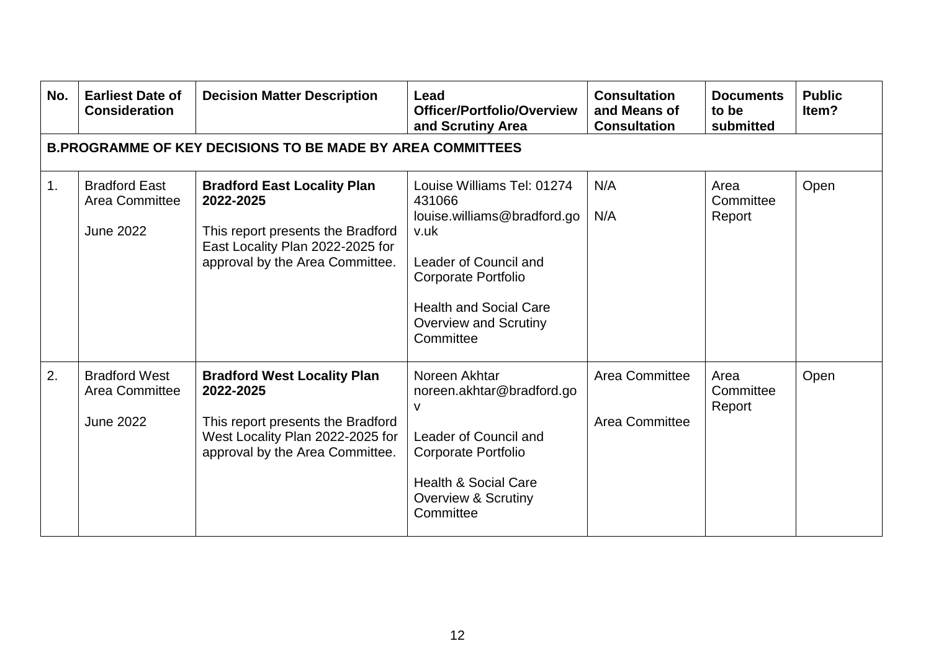| No. | <b>Earliest Date of</b><br><b>Consideration</b>            | <b>Decision Matter Description</b>                                                                                                                          | Lead<br>Officer/Portfolio/Overview<br>and Scrutiny Area                                                                                                                                                          | <b>Consultation</b><br>and Means of<br><b>Consultation</b> | <b>Documents</b><br>to be<br>submitted | <b>Public</b><br>Item? |
|-----|------------------------------------------------------------|-------------------------------------------------------------------------------------------------------------------------------------------------------------|------------------------------------------------------------------------------------------------------------------------------------------------------------------------------------------------------------------|------------------------------------------------------------|----------------------------------------|------------------------|
|     |                                                            | <b>B.PROGRAMME OF KEY DECISIONS TO BE MADE BY AREA COMMITTEES</b>                                                                                           |                                                                                                                                                                                                                  |                                                            |                                        |                        |
| 1.  | <b>Bradford East</b><br>Area Committee<br><b>June 2022</b> | <b>Bradford East Locality Plan</b><br>2022-2025<br>This report presents the Bradford<br>East Locality Plan 2022-2025 for<br>approval by the Area Committee. | Louise Williams Tel: 01274<br>431066<br>louise.williams@bradford.go<br>v.uk<br>Leader of Council and<br><b>Corporate Portfolio</b><br><b>Health and Social Care</b><br><b>Overview and Scrutiny</b><br>Committee | N/A<br>N/A                                                 | Area<br>Committee<br>Report            | Open                   |
| 2.  | <b>Bradford West</b><br>Area Committee<br><b>June 2022</b> | <b>Bradford West Locality Plan</b><br>2022-2025<br>This report presents the Bradford<br>West Locality Plan 2022-2025 for<br>approval by the Area Committee. | Noreen Akhtar<br>noreen.akhtar@bradford.go<br>v<br>Leader of Council and<br><b>Corporate Portfolio</b><br><b>Health &amp; Social Care</b><br><b>Overview &amp; Scrutiny</b><br>Committee                         | <b>Area Committee</b><br><b>Area Committee</b>             | Area<br>Committee<br>Report            | Open                   |